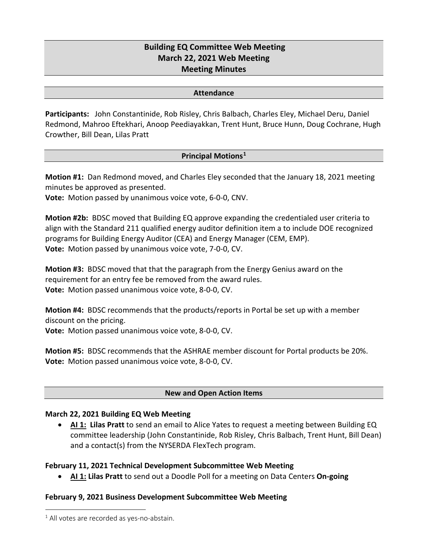# **Building EQ Committee Web Meeting March 22, 2021 Web Meeting Meeting Minutes**

#### **Attendance**

**Participants:** John Constantinide, Rob Risley, Chris Balbach, Charles Eley, Michael Deru, Daniel Redmond, Mahroo Eftekhari, Anoop Peediayakkan, Trent Hunt, Bruce Hunn, Doug Cochrane, Hugh Crowther, Bill Dean, Lilas Pratt

### **Principal Motions[1](#page-0-0)**

**Motion #1:** Dan Redmond moved, and Charles Eley seconded that the January 18, 2021 meeting minutes be approved as presented.

**Vote:** Motion passed by unanimous voice vote, 6-0-0, CNV.

**Motion #2b:** BDSC moved that Building EQ approve expanding the credentialed user criteria to align with the Standard 211 qualified energy auditor definition item a to include DOE recognized programs for Building Energy Auditor (CEA) and Energy Manager (CEM, EMP). **Vote:** Motion passed by unanimous voice vote, 7-0-0, CV.

**Motion #3:** BDSC moved that that the paragraph from the Energy Genius award on the requirement for an entry fee be removed from the award rules. **Vote:** Motion passed unanimous voice vote, 8-0-0, CV.

**Motion #4:** BDSC recommends that the products/reports in Portal be set up with a member discount on the pricing. **Vote:** Motion passed unanimous voice vote, 8-0-0, CV.

**Motion #5:** BDSC recommends that the ASHRAE member discount for Portal products be 20%. **Vote:** Motion passed unanimous voice vote, 8-0-0, CV.

### **New and Open Action Items**

### **March 22, 2021 Building EQ Web Meeting**

• **AI 1: Lilas Pratt** to send an email to Alice Yates to request a meeting between Building EQ committee leadership (John Constantinide, Rob Risley, Chris Balbach, Trent Hunt, Bill Dean) and a contact(s) from the NYSERDA FlexTech program.

### **February 11, 2021 Technical Development Subcommittee Web Meeting**

• **AI 1: Lilas Pratt** to send out a Doodle Poll for a meeting on Data Centers **On-going**

### **February 9, 2021 Business Development Subcommittee Web Meeting**

<span id="page-0-0"></span> $1$  All votes are recorded as yes-no-abstain.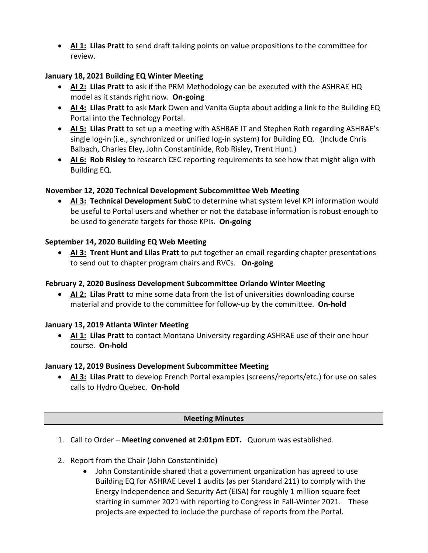• **AI 1: Lilas Pratt** to send draft talking points on value propositions to the committee for review.

# **January 18, 2021 Building EQ Winter Meeting**

- **AI 2: Lilas Pratt** to ask if the PRM Methodology can be executed with the ASHRAE HQ model as it stands right now. **On-going**
- **AI 4: Lilas Pratt** to ask Mark Owen and Vanita Gupta about adding a link to the Building EQ Portal into the Technology Portal.
- **AI 5: Lilas Pratt** to set up a meeting with ASHRAE IT and Stephen Roth regarding ASHRAE's single log-in (i.e., synchronized or unified log-in system) for Building EQ. (Include Chris Balbach, Charles Eley, John Constantinide, Rob Risley, Trent Hunt.)
- **AI 6: Rob Risley** to research CEC reporting requirements to see how that might align with Building EQ.

## **November 12, 2020 Technical Development Subcommittee Web Meeting**

• **AI 3: Technical Development SubC** to determine what system level KPI information would be useful to Portal users and whether or not the database information is robust enough to be used to generate targets for those KPIs. **On-going**

# **September 14, 2020 Building EQ Web Meeting**

• **AI 3: Trent Hunt and Lilas Pratt** to put together an email regarding chapter presentations to send out to chapter program chairs and RVCs. **On-going**

## **February 2, 2020 Business Development Subcommittee Orlando Winter Meeting**

• **AI 2: Lilas Pratt** to mine some data from the list of universities downloading course material and provide to the committee for follow-up by the committee. **On-hold**

## **January 13, 2019 Atlanta Winter Meeting**

• **AI 1: Lilas Pratt** to contact Montana University regarding ASHRAE use of their one hour course. **On-hold**

## **January 12, 2019 Business Development Subcommittee Meeting**

• **AI 3: Lilas Pratt** to develop French Portal examples (screens/reports/etc.) for use on sales calls to Hydro Quebec. **On-hold**

## **Meeting Minutes**

- 1. Call to Order **Meeting convened at 2:01pm EDT.** Quorum was established.
- 2. Report from the Chair (John Constantinide)
	- John Constantinide shared that a government organization has agreed to use Building EQ for ASHRAE Level 1 audits (as per Standard 211) to comply with the Energy Independence and Security Act (EISA) for roughly 1 million square feet starting in summer 2021 with reporting to Congress in Fall-Winter 2021. These projects are expected to include the purchase of reports from the Portal.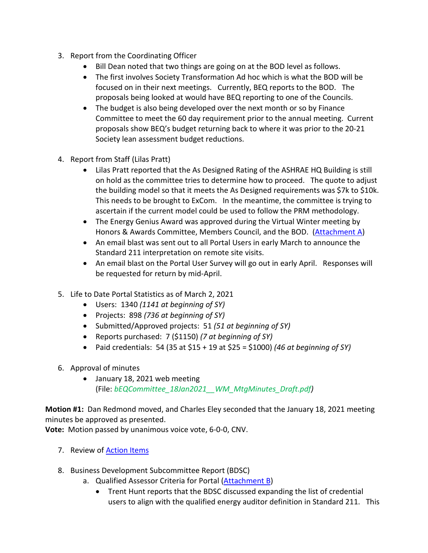- 3. Report from the Coordinating Officer
	- Bill Dean noted that two things are going on at the BOD level as follows.
	- The first involves Society Transformation Ad hoc which is what the BOD will be focused on in their next meetings. Currently, BEQ reports to the BOD. The proposals being looked at would have BEQ reporting to one of the Councils.
	- The budget is also being developed over the next month or so by Finance Committee to meet the 60 day requirement prior to the annual meeting. Current proposals show BEQ's budget returning back to where it was prior to the 20-21 Society lean assessment budget reductions.
- 4. Report from Staff (Lilas Pratt)
	- Lilas Pratt reported that the As Designed Rating of the ASHRAE HQ Building is still on hold as the committee tries to determine how to proceed. The quote to adjust the building model so that it meets the As Designed requirements was \$7k to \$10k. This needs to be brought to ExCom. In the meantime, the committee is trying to ascertain if the current model could be used to follow the PRM methodology.
	- The Energy Genius Award was approved during the Virtual Winter meeting by Honors & Awards Committee, Members Council, and the BOD. [\(Attachment A\)](#page-7-0)
	- An email blast was sent out to all Portal Users in early March to announce the Standard 211 interpretation on remote site visits.
	- An email blast on the Portal User Survey will go out in early April. Responses will be requested for return by mid-April.
- 5. Life to Date Portal Statistics as of March 2, 2021
	- Users: 1340 *(1141 at beginning of SY)*
	- Projects: 898 *(736 at beginning of SY)*
	- Submitted/Approved projects: 51 *(51 at beginning of SY)*
	- Reports purchased: 7 (\$1150) *(7 at beginning of SY)*
	- Paid credentials: 54 (35 at \$15 + 19 at \$25 = \$1000) *(46 at beginning of SY)*
- 6. Approval of minutes
	- January 18, 2021 web meeting (File: *bEQCommittee\_18Jan2021\_\_WM\_MtgMinutes\_Draft.pdf)*

**Motion #1:** Dan Redmond moved, and Charles Eley seconded that the January 18, 2021 meeting minutes be approved as presented.

**Vote:** Motion passed by unanimous voice vote, 6-0-0, CNV.

- 7. Review of **Action Items**
- 8. Business Development Subcommittee Report (BDSC)
	- a. Qualified Assessor Criteria for Portal [\(Attachment B\)](#page-8-0)
		- Trent Hunt reports that the BDSC discussed expanding the list of credential users to align with the qualified energy auditor definition in Standard 211. This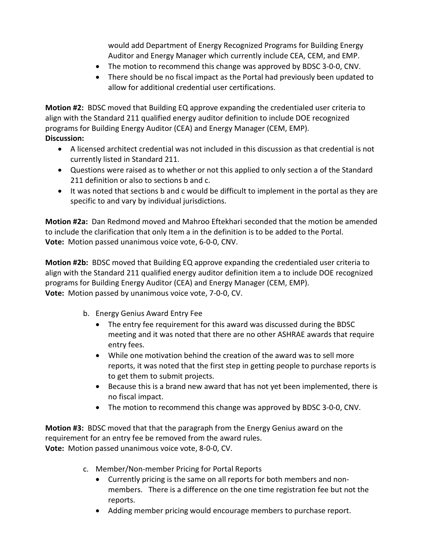would add Department of Energy Recognized Programs for Building Energy Auditor and Energy Manager which currently include CEA, CEM, and EMP.

- The motion to recommend this change was approved by BDSC 3-0-0, CNV.
- There should be no fiscal impact as the Portal had previously been updated to allow for additional credential user certifications.

**Motion #2:** BDSC moved that Building EQ approve expanding the credentialed user criteria to align with the Standard 211 qualified energy auditor definition to include DOE recognized programs for Building Energy Auditor (CEA) and Energy Manager (CEM, EMP). **Discussion:** 

- A licensed architect credential was not included in this discussion as that credential is not currently listed in Standard 211.
- Questions were raised as to whether or not this applied to only section a of the Standard 211 definition or also to sections b and c.
- It was noted that sections b and c would be difficult to implement in the portal as they are specific to and vary by individual jurisdictions.

**Motion #2a:** Dan Redmond moved and Mahroo Eftekhari seconded that the motion be amended to include the clarification that only Item a in the definition is to be added to the Portal. **Vote:** Motion passed unanimous voice vote, 6-0-0, CNV.

**Motion #2b:** BDSC moved that Building EQ approve expanding the credentialed user criteria to align with the Standard 211 qualified energy auditor definition item a to include DOE recognized programs for Building Energy Auditor (CEA) and Energy Manager (CEM, EMP). **Vote:** Motion passed by unanimous voice vote, 7-0-0, CV.

- b. Energy Genius Award Entry Fee
	- The entry fee requirement for this award was discussed during the BDSC meeting and it was noted that there are no other ASHRAE awards that require entry fees.
	- While one motivation behind the creation of the award was to sell more reports, it was noted that the first step in getting people to purchase reports is to get them to submit projects.
	- Because this is a brand new award that has not yet been implemented, there is no fiscal impact.
	- The motion to recommend this change was approved by BDSC 3-0-0, CNV.

**Motion #3:** BDSC moved that that the paragraph from the Energy Genius award on the requirement for an entry fee be removed from the award rules. **Vote:** Motion passed unanimous voice vote, 8-0-0, CV.

- c. Member/Non-member Pricing for Portal Reports
	- Currently pricing is the same on all reports for both members and nonmembers. There is a difference on the one time registration fee but not the reports.
	- Adding member pricing would encourage members to purchase report.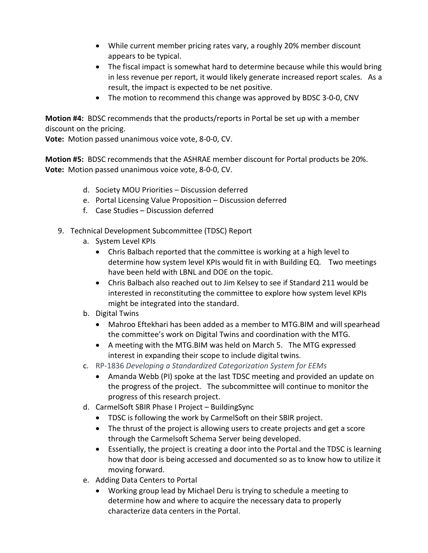- While current member pricing rates vary, a roughly 20% member discount appears to be typical.
- The fiscal impact is somewhat hard to determine because while this would bring in less revenue per report, it would likely generate increased report scales. As a result, the impact is expected to be net positive.
- The motion to recommend this change was approved by BDSC 3-0-0, CNV

**Motion #4:** BDSC recommends that the products/reports in Portal be set up with a member discount on the pricing.

**Vote:** Motion passed unanimous voice vote, 8-0-0, CV.

**Motion #5:** BDSC recommends that the ASHRAE member discount for Portal products be 20%. **Vote:** Motion passed unanimous voice vote, 8-0-0, CV.

- d. Society MOU Priorities Discussion deferred
- e. Portal Licensing Value Proposition Discussion deferred
- f. Case Studies Discussion deferred
- 9. Technical Development Subcommittee (TDSC) Report
	- a. System Level KPIs
		- Chris Balbach reported that the committee is working at a high level to determine how system level KPIs would fit in with Building EQ. Two meetings have been held with LBNL and DOE on the topic.
		- Chris Balbach also reached out to Jim Kelsey to see if Standard 211 would be interested in reconstituting the committee to explore how system level KPIs might be integrated into the standard.
	- b. Digital Twins
		- Mahroo Eftekhari has been added as a member to MTG.BIM and will spearhead the committee's work on Digital Twins and coordination with the MTG.
		- A meeting with the MTG.BIM was held on March 5. The MTG expressed interest in expanding their scope to include digital twins.
	- c. RP-1836 *Developing a Standardized Categorization System for EEMs*
		- Amanda Webb (PI) spoke at the last TDSC meeting and provided an update on the progress of the project. The subcommittee will continue to monitor the progress of this research project.
	- d. CarmelSoft SBIR Phase I Project BuildingSync
		- TDSC is following the work by CarmelSoft on their SBIR project.
		- The thrust of the project is allowing users to create projects and get a score through the Carmelsoft Schema Server being developed.
		- Essentially, the project is creating a door into the Portal and the TDSC is learning how that door is being accessed and documented so as to know how to utilize it moving forward.
	- e. Adding Data Centers to Portal
		- Working group lead by Michael Deru is trying to schedule a meeting to determine how and where to acquire the necessary data to properly characterize data centers in the Portal.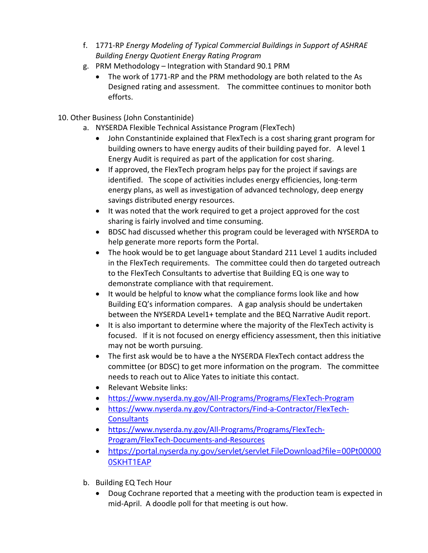- f. 1771-RP *Energy Modeling of Typical Commercial Buildings in Support of ASHRAE Building Energy Quotient Energy Rating Program*
- g. PRM Methodology Integration with Standard 90.1 PRM
	- The work of 1771-RP and the PRM methodology are both related to the As Designed rating and assessment. The committee continues to monitor both efforts.
- 10. Other Business (John Constantinide)
	- a. NYSERDA Flexible Technical Assistance Program (FlexTech)
		- John Constantinide explained that FlexTech is a cost sharing grant program for building owners to have energy audits of their building payed for. A level 1 Energy Audit is required as part of the application for cost sharing.
		- If approved, the FlexTech program helps pay for the project if savings are identified. The scope of activities includes energy efficiencies, long-term energy plans, as well as investigation of advanced technology, deep energy savings distributed energy resources.
		- It was noted that the work required to get a project approved for the cost sharing is fairly involved and time consuming.
		- BDSC had discussed whether this program could be leveraged with NYSERDA to help generate more reports form the Portal.
		- The hook would be to get language about Standard 211 Level 1 audits included in the FlexTech requirements. The committee could then do targeted outreach to the FlexTech Consultants to advertise that Building EQ is one way to demonstrate compliance with that requirement.
		- It would be helpful to know what the compliance forms look like and how Building EQ's information compares. A gap analysis should be undertaken between the NYSERDA Level1+ template and the BEQ Narrative Audit report.
		- It is also important to determine where the majority of the FlexTech activity is focused. If it is not focused on energy efficiency assessment, then this initiative may not be worth pursuing.
		- The first ask would be to have a the NYSERDA FlexTech contact address the committee (or BDSC) to get more information on the program. The committee needs to reach out to Alice Yates to initiate this contact.
		- Relevant Website links:
		- <https://www.nyserda.ny.gov/All-Programs/Programs/FlexTech-Program>
		- [https://www.nyserda.ny.gov/Contractors/Find-a-Contractor/FlexTech-](https://www.nyserda.ny.gov/Contractors/Find-a-Contractor/FlexTech-Consultants)**[Consultants](https://www.nyserda.ny.gov/Contractors/Find-a-Contractor/FlexTech-Consultants)**
		- [https://www.nyserda.ny.gov/All-Programs/Programs/FlexTech-](https://www.nyserda.ny.gov/All-Programs/Programs/FlexTech-Program/FlexTech-Documents-and-Resources)[Program/FlexTech-Documents-and-Resources](https://www.nyserda.ny.gov/All-Programs/Programs/FlexTech-Program/FlexTech-Documents-and-Resources)
		- [https://portal.nyserda.ny.gov/servlet/servlet.FileDownload?file=00Pt00000](https://portal.nyserda.ny.gov/servlet/servlet.FileDownload?file=00Pt000000SKHT1EAP) [0SKHT1EAP](https://portal.nyserda.ny.gov/servlet/servlet.FileDownload?file=00Pt000000SKHT1EAP)
	- b. Building EQ Tech Hour
		- Doug Cochrane reported that a meeting with the production team is expected in mid-April. A doodle poll for that meeting is out how.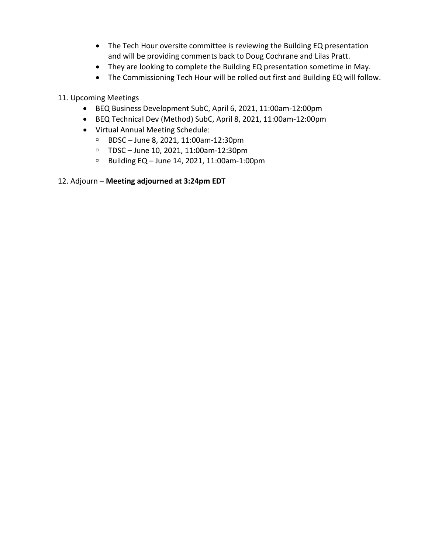- The Tech Hour oversite committee is reviewing the Building EQ presentation and will be providing comments back to Doug Cochrane and Lilas Pratt.
- They are looking to complete the Building EQ presentation sometime in May.
- The Commissioning Tech Hour will be rolled out first and Building EQ will follow.

## 11. Upcoming Meetings

- BEQ Business Development SubC, April 6, 2021, 11:00am-12:00pm
- BEQ Technical Dev (Method) SubC, April 8, 2021, 11:00am-12:00pm
- Virtual Annual Meeting Schedule:
	- □ BDSC June 8, 2021, 11:00am-12:30pm
	- TDSC June 10, 2021, 11:00am-12:30pm
	- Building EQ June 14, 2021, 11:00am-1:00pm

## 12. Adjourn – **Meeting adjourned at 3:24pm EDT**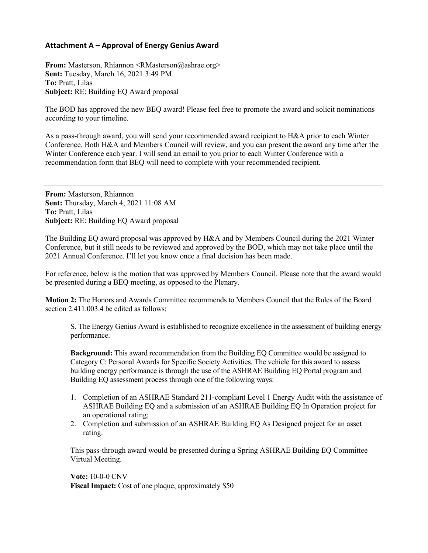## <span id="page-7-0"></span>**Attachment A – Approval of Energy Genius Award**

**From:** Masterson, Rhiannon <RMasterson@ashrae.org> **Sent:** Tuesday, March 16, 2021 3:49 PM **To:** Pratt, Lilas **Subject:** RE: Building EQ Award proposal

The BOD has approved the new BEQ award! Please feel free to promote the award and solicit nominations according to your timeline.

As a pass-through award, you will send your recommended award recipient to H&A prior to each Winter Conference. Both H&A and Members Council will review, and you can present the award any time after the Winter Conference each year. I will send an email to you prior to each Winter Conference with a recommendation form that BEQ will need to complete with your recommended recipient.

**From:** Masterson, Rhiannon **Sent:** Thursday, March 4, 2021 11:08 AM **To:** Pratt, Lilas **Subject:** RE: Building EQ Award proposal

The Building EQ award proposal was approved by H&A and by Members Council during the 2021 Winter Conference, but it still needs to be reviewed and approved by the BOD, which may not take place until the 2021 Annual Conference. I'll let you know once a final decision has been made.

For reference, below is the motion that was approved by Members Council. Please note that the award would be presented during a BEQ meeting, as opposed to the Plenary.

**Motion 2:** The Honors and Awards Committee recommends to Members Council that the Rules of the Board section 2.411.003.4 be edited as follows:

S. The Energy Genius Award is established to recognize excellence in the assessment of building energy performance.

**Background:** This award recommendation from the Building EQ Committee would be assigned to Category C: Personal Awards for Specific Society Activities. The vehicle for this award to assess building energy performance is through the use of the ASHRAE Building EQ Portal program and Building EQ assessment process through one of the following ways:

- 1. Completion of an ASHRAE Standard 211-compliant Level 1 Energy Audit with the assistance of ASHRAE Building EQ and a submission of an ASHRAE Building EQ In Operation project for an operational rating;
- 2. Completion and submission of an ASHRAE Building EQ As Designed project for an asset rating.

This pass-through award would be presented during a Spring ASHRAE Building EQ Committee Virtual Meeting.

**Vote:** 10-0-0 CNV **Fiscal Impact:** Cost of one plaque, approximately \$50